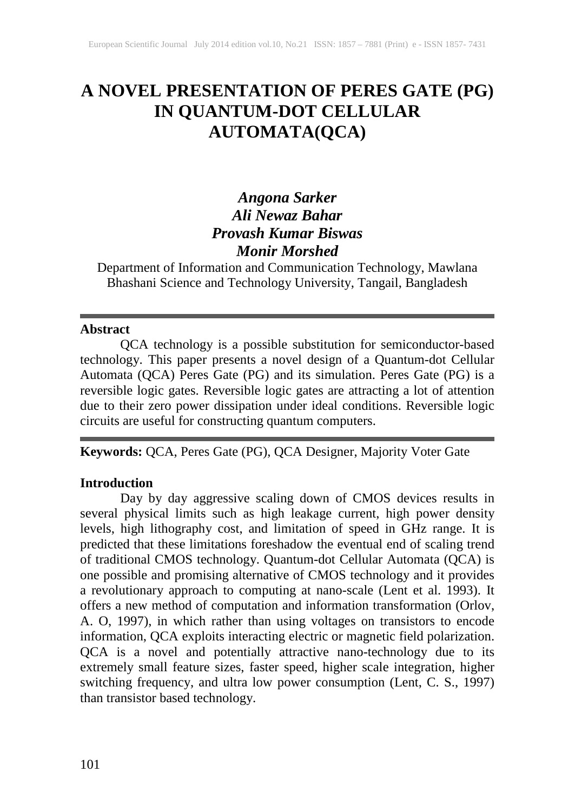# **A NOVEL PRESENTATION OF PERES GATE (PG) IN QUANTUM-DOT CELLULAR AUTOMATA(QCA)**

# *Angona Sarker Ali Newaz Bahar Provash Kumar Biswas Monir Morshed*

Department of Information and Communication Technology, Mawlana Bhashani Science and Technology University, Tangail, Bangladesh

#### **Abstract**

QCA technology is a possible substitution for semiconductor-based technology. This paper presents a novel design of a Quantum-dot Cellular Automata (QCA) Peres Gate (PG) and its simulation. Peres Gate (PG) is a reversible logic gates. Reversible logic gates are attracting a lot of attention due to their zero power dissipation under ideal conditions. Reversible logic circuits are useful for constructing quantum computers.

# **Keywords:** QCA, Peres Gate (PG), QCA Designer, Majority Voter Gate

#### **Introduction**

Day by day aggressive scaling down of CMOS devices results in several physical limits such as high leakage current, high power density levels, high lithography cost, and limitation of speed in GHz range. It is predicted that these limitations foreshadow the eventual end of scaling trend of traditional CMOS technology. Quantum-dot Cellular Automata (QCA) is one possible and promising alternative of CMOS technology and it provides a revolutionary approach to computing at nano-scale (Lent et al. 1993). It offers a new method of computation and information transformation (Orlov, A. O, 1997), in which rather than using voltages on transistors to encode information, QCA exploits interacting electric or magnetic field polarization. QCA is a novel and potentially attractive nano-technology due to its extremely small feature sizes, faster speed, higher scale integration, higher switching frequency, and ultra low power consumption (Lent, C. S., 1997) than transistor based technology.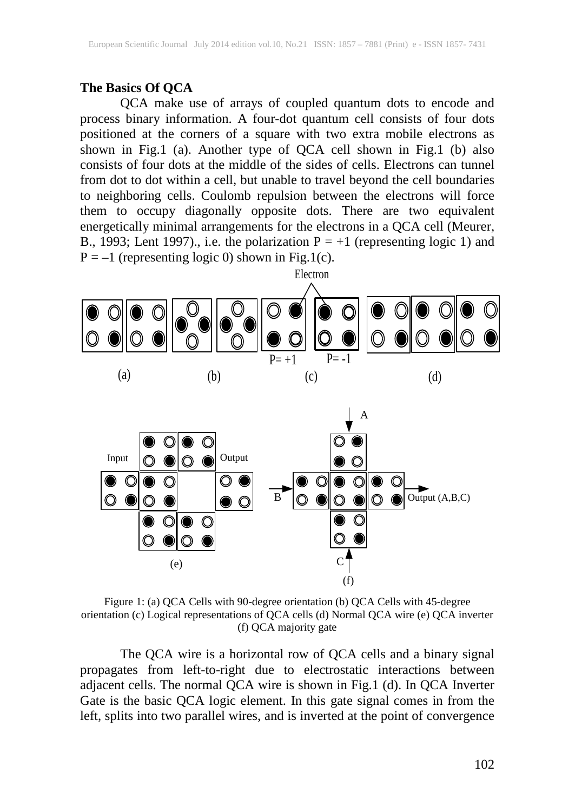### **The Basics Of QCA**

QCA make use of arrays of coupled quantum dots to encode and process binary information. A four-dot quantum cell consists of four dots positioned at the corners of a square with two extra mobile electrons as shown in Fig.1 (a). Another type of QCA cell shown in Fig.1 (b) also consists of four dots at the middle of the sides of cells. Electrons can tunnel from dot to dot within a cell, but unable to travel beyond the cell boundaries to neighboring cells. Coulomb repulsion between the electrons will force them to occupy diagonally opposite dots. There are two equivalent energetically minimal arrangements for the electrons in a QCA cell (Meurer, B., 1993; Lent 1997)., i.e. the polarization  $P = +1$  (representing logic 1) and  $P = -1$  (representing logic 0) shown in Fig.1(c).



Figure 1: (a) QCA Cells with 90-degree orientation (b) QCA Cells with 45-degree orientation (c) Logical representations of QCA cells (d) Normal QCA wire (e) QCA inverter (f) QCA majority gate

The QCA wire is a horizontal row of QCA cells and a binary signal propagates from left-to-right due to electrostatic interactions between adjacent cells. The normal QCA wire is shown in Fig.1 (d). In QCA Inverter Gate is the basic QCA logic element. In this gate signal comes in from the left, splits into two parallel wires, and is inverted at the point of convergence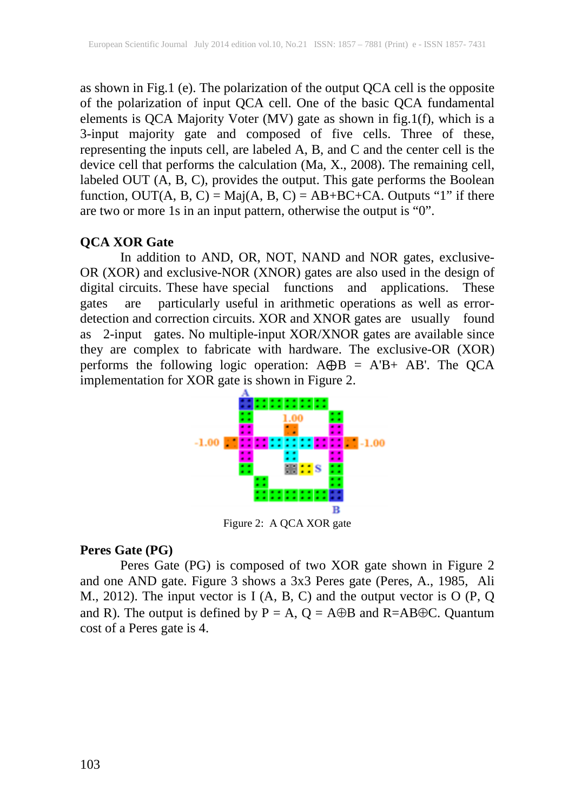as shown in Fig.1 (e). The polarization of the output QCA cell is the opposite of the polarization of input QCA cell. One of the basic QCA fundamental elements is QCA Majority Voter (MV) gate as shown in fig.1(f), which is a 3-input majority gate and composed of five cells. Three of these, representing the inputs cell, are labeled A, B, and C and the center cell is the device cell that performs the calculation (Ma, X., 2008). The remaining cell, labeled OUT (A, B, C), provides the output. This gate performs the Boolean function,  $OUT(A, B, C) = Maj(A, B, C) = AB + BC + CA$ . Outputs "1" if there are two or more 1s in an input pattern, otherwise the output is "0".

#### **QCA XOR Gate**

In addition to AND, OR, NOT, NAND and NOR gates, exclusive-OR (XOR) and exclusive-NOR (XNOR) gates are also used in the design of digital circuits. These have special functions and applications. These gates are particularly useful in arithmetic operations as well as errordetection and correction circuits. XOR and XNOR gates are usually found as 2-input gates. No multiple-input XOR/XNOR gates are available since they are complex to fabricate with hardware. The exclusive-OR (XOR) performs the following logic operation:  $A \oplus B = A'B + AB'$ . The QCA implementation for XOR gate is shown in Figure 2.



Figure 2: A QCA XOR gate

#### **Peres Gate (PG)**

Peres Gate (PG) is composed of two XOR gate shown in Figure 2 and one AND gate. Figure 3 shows a 3x3 Peres gate (Peres, A., 1985, Ali M., 2012). The input vector is I (A, B, C) and the output vector is O (P, Q and R). The output is defined by  $P = A$ ,  $Q = A \oplus B$  and R=AB $\oplus C$ . Quantum cost of a Peres gate is 4.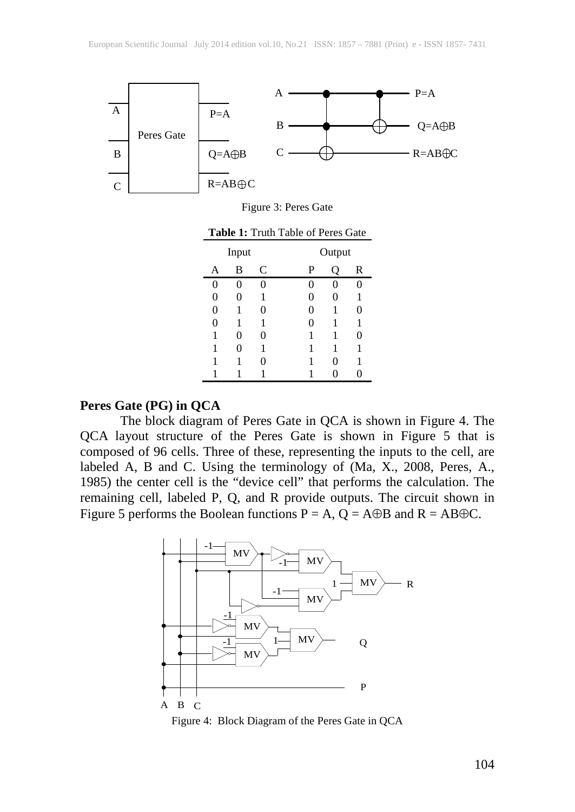

Figure 3: Peres Gate

| <b>Table 1: Truth Table of Peres Gate</b> |
|-------------------------------------------|
|-------------------------------------------|

| Input |   |   |   | Output |   |  |
|-------|---|---|---|--------|---|--|
| A     | B | C | P |        | R |  |
| 0     | 0 |   | 0 | 0      |   |  |
| 0     | 0 | 1 | 0 | 0      | 1 |  |
| 0     | 1 | 0 | 0 | 1      | 0 |  |
| 0     | 1 | 1 | 0 | 1      | 1 |  |
| 1     | 0 | 0 | 1 | 1      | 0 |  |
| 1     | 0 | 1 | 1 | 1      | 1 |  |
| 1     |   |   | 1 | 0      | 1 |  |
| 1     |   |   |   |        |   |  |

#### **Peres Gate (PG) in QCA**

The block diagram of Peres Gate in QCA is shown in Figure 4. The QCA layout structure of the Peres Gate is shown in Figure 5 that is composed of 96 cells. Three of these, representing the inputs to the cell, are labeled A, B and C. Using the terminology of (Ma, X., 2008, Peres, A., 1985) the center cell is the "device cell" that performs the calculation. The remaining cell, labeled P, Q, and R provide outputs. The circuit shown in Figure 5 performs the Boolean functions  $P = A$ ,  $Q = A \oplus B$  and  $R = AB \oplus C$ .



Figure 4: Block Diagram of the Peres Gate in QCA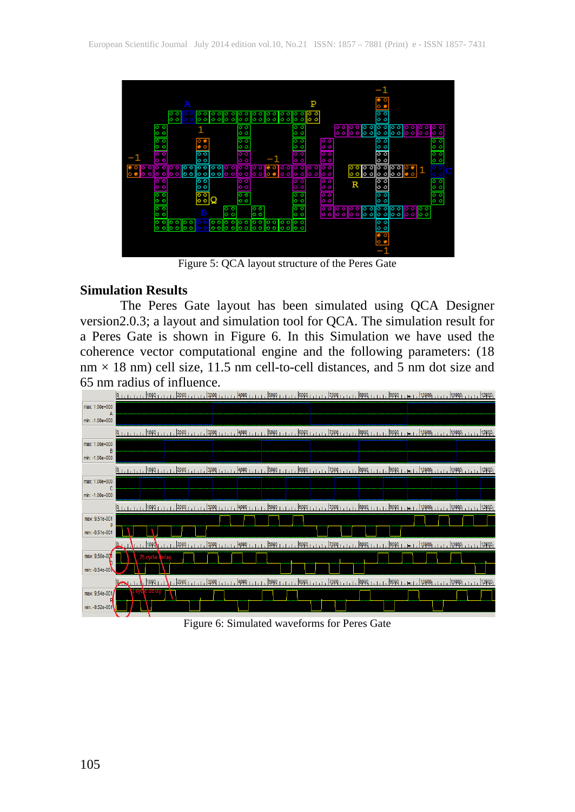

Figure 5: QCA layout structure of the Peres Gate

#### **Simulation Results**

The Peres Gate layout has been simulated using QCA Designer version2.0.3; a layout and simulation tool for QCA. The simulation result for a Peres Gate is shown in Figure 6. In this Simulation we have used the coherence vector computational engine and the following parameters: (18  $nm \times 18$  nm) cell size, 11.5 nm cell-to-cell distances, and 5 nm dot size and 65 nm radius of influence.



Figure 6: Simulated waveforms for Peres Gate